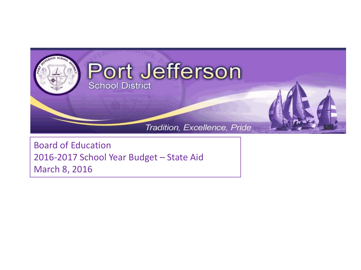

Board of Education 2016-2017 School Year Budget – State Aid March 8, 2016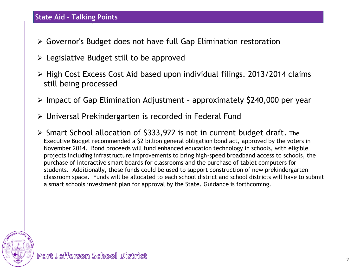# **State Aid – Talking Points**

- Governor's Budget does not have full Gap Elimination restoration
- $\triangleright$  Legislative Budget still to be approved
- $\triangleright$  High Cost Excess Cost Aid based upon individual filings. 2013/2014 claims still being processed
- $\triangleright$  Impact of Gap Elimination Adjustment approximately \$240,000 per year
- Universal Prekindergarten is recorded in Federal Fund
- $\triangleright$  Smart School allocation of \$333,922 is not in current budget draft. The Executive Budget recommended a \$2 billion general obligation bond act, approved by the voters in November 2014. Bond proceeds will fund enhanced education technology in schools, with eligible projects including infrastructure improvements to bring high-speed broadband access to schools, the purchase of interactive smart boards for classrooms and the purchase of tablet computers for students. Additionally, these funds could be used to support construction of new prekindergarten classroom space. Funds will be allocated to each school district and school districts will have to submit a smart schools investment plan for approval by the State. Guidance is forthcoming.

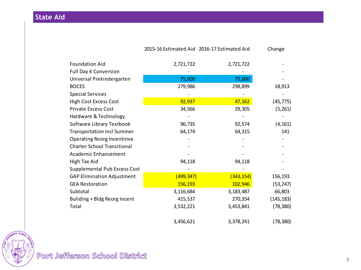**State Aid**

|                                    | 2015-16 Estimated Aid 2016-17 Estimated Aid |            | Change     |
|------------------------------------|---------------------------------------------|------------|------------|
| <b>Foundation Aid</b>              | 2,721,722                                   | 2,721,722  |            |
| <b>Full Day K Conversion</b>       |                                             |            |            |
| Universal Prekindergarten          | 75,600                                      | 75,600     |            |
| <b>BOCES</b>                       | 279,986                                     | 298,899    | 18,913     |
| <b>Special Services</b>            |                                             |            |            |
| <b>High Cost Excess Cost</b>       | 92,937                                      | 47,162     | (45, 775)  |
| <b>Private Excess Cost</b>         | 34,566                                      | 29,305     | (5,261)    |
| Hardware & Technology              |                                             |            |            |
| Software Library Textbook          | 96,735                                      | 92,574     | (4, 161)   |
| <b>Transportation Incl Summer</b>  | 64,174                                      | 64,315     | 141        |
| <b>Operating Reorg Incentinve</b>  |                                             |            |            |
| <b>Charter School Transitional</b> |                                             |            |            |
| Academic Enhancement               |                                             |            |            |
| High Tax Aid                       | 94,118                                      | 94,118     |            |
| Supplemental Pub Excess Cost       |                                             |            |            |
| <b>GAP Elimination Adjustment</b>  | (499, 347)                                  | (343, 154) | 156,193    |
| <b>GEA Restoration</b>             | 156,193                                     | 102,946    | (53, 247)  |
| Subtotal                           | 3,116,684                                   | 3,183,487  | 66,803     |
| Buliding + Bldg Reorg Incent       | 415,537                                     | 270,354    | (145, 183) |
| Total                              | 3,532,221                                   | 3,453,841  | (78, 380)  |
|                                    | 3,456,621                                   | 3,378,241  | (78, 380)  |

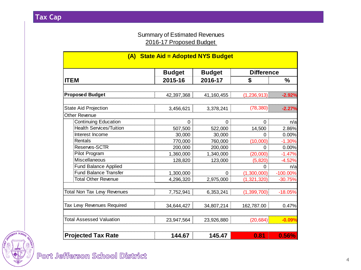### Summary of Estimated Revenues 2016-17 Proposed Budget

| (A) State Aid = Adopted NYS Budget |               |               |                   |               |  |
|------------------------------------|---------------|---------------|-------------------|---------------|--|
|                                    | <b>Budget</b> | <b>Budget</b> | <b>Difference</b> |               |  |
| <b>ITEM</b>                        | 2015-16       | 2016-17       | \$                | $\frac{9}{6}$ |  |
|                                    |               |               |                   |               |  |
| <b>Proposed Budget</b>             | 42,397,368    | 41,160,455    | (1, 236, 913)     | $-2.92%$      |  |
| <b>State Aid Projection</b>        | 3,456,621     | 3,378,241     | (78, 380)         | $-2.27%$      |  |
| Other Revenue                      |               |               |                   |               |  |
| <b>Continuing Education</b>        | 0             | 0             | 0                 | n/a           |  |
| <b>Health Services/Tuition</b>     | 507,500       | 522,000       | 14,500            | 2.86%         |  |
| Interest Income                    | 30,000        | 30,000        | 0                 | 0.00%         |  |
| Rentals                            | 770,000       | 760,000       | (10,000)          | $-1.30%$      |  |
| Reserves-SCTR                      | 200,000       | 200,000       | 0                 | 0.00%         |  |
| Pilot Program                      | 1,360,000     | 1,340,000     | (20,000)          | $-1.47%$      |  |
| Miscellaneous                      | 128,820       | 123,000       | (5, 820)          | $-4.52%$      |  |
| <b>Fund Balance Applied</b>        |               |               | 0                 | n/a           |  |
| <b>Fund Balance Transfer</b>       | 1,300,000     | 0             | (1,300,000)       | $-100.00\%$   |  |
| <b>Total Other Revenue</b>         | 4,296,320     | 2,975,000     | (1, 321, 320)     | $-30.75%$     |  |
| <b>Total Non Tax Levy Revenues</b> | 7,752,941     | 6,353,241     | (1,399,700)       | $-18.05%$     |  |
| Tax Levy Revenues Required         | 34,644,427    | 34,807,214    | 162,787.00        | 0.47%         |  |
| <b>Total Assessed Valuation</b>    | 23,947,564    | 23,926,880    | (20, 684)         | $-0.09%$      |  |
| <b>Projected Tax Rate</b>          | 144.67        | 145.47        | 0.81              | 0.56%         |  |

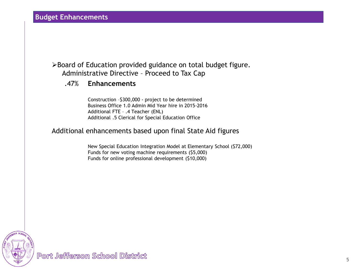### **Budget Enhancements**

## Board of Education provided guidance on total budget figure. Administrative Directive – Proceed to Tax Cap

### .47% **Enhancements**

Construction –\$300,000 - project to be determined Business Office 1.0 Admin Mid Year hire in 2015-2016 Additional FTE – .4 Teacher (ENL) Additional .5 Clerical for Special Education Office

#### Additional enhancements based upon final State Aid figures

New Special Education Integration Model at Elementary School (\$72,000) Funds for new voting machine requirements (\$5,000) Funds for online professional development (\$10,000)